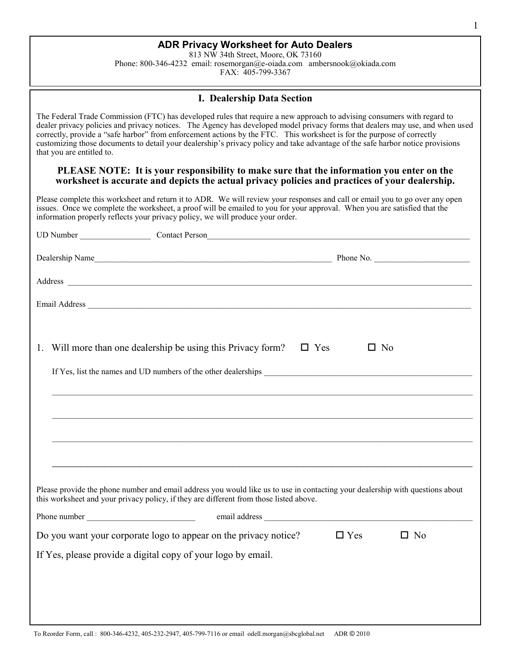## **ADR Privacy Worksheet for Auto Dealers**

813 NW 34th Street, Moore, OK 73160 Phone: 800-346-4232 email: rosemorgan@e-oiada.com ambersnook@okiada.com FAX: 405-799-3367

The Federal Trade Commission (FTC) has developed rules that require a new approach to advising consumers with regard to dealer privacy policies and privacy notices. The Agency has developed model privacy forms that dealers may use, and when used correctly, provide a "safe harbor" from enforcement actions by the FTC. This worksheet is for the purpose of correctly customizing those documents to detail your dealership's privacy policy and take advantage of the safe harbor notice provisions that you are entitled to.

## **PLEASE NOTE: It is your responsibility to make sure that the information you enter on the worksheet is accurate and depicts the actual privacy policies and practices of your dealership.**

Please complete this worksheet and return it to ADR. We will review your responses and call or email you to go over any open issues. Once we complete the worksheet, a proof will be emailed to you for your approval. When you are satisfied that the information properly reflects your privacy policy, we will produce your order.

| UD Number Contact Person                                                                                                                                                                                                |                            |           |
|-------------------------------------------------------------------------------------------------------------------------------------------------------------------------------------------------------------------------|----------------------------|-----------|
|                                                                                                                                                                                                                         |                            |           |
|                                                                                                                                                                                                                         |                            |           |
|                                                                                                                                                                                                                         |                            |           |
| 1. Will more than one dealership be using this Privacy form?                                                                                                                                                            | $\Box$ Yes<br>$\square$ No |           |
|                                                                                                                                                                                                                         |                            |           |
|                                                                                                                                                                                                                         |                            |           |
|                                                                                                                                                                                                                         |                            |           |
|                                                                                                                                                                                                                         |                            |           |
| ,我们也不能在这里的时候,我们也不能在这里的时候,我们也不能会不能会不能会不能会不能会不能会不能会不能会不能会不能会。<br>第2012章 我们的时候,我们的时候,我们的时候,我们的时候,我们的时候,我们的时候,我们的时候,我们的时候,我们的时候,我们的时候,我们的时候,我们的时候,我                                                                         |                            |           |
| Please provide the phone number and email address you would like us to use in contacting your dealership with questions about<br>this worksheet and your privacy policy, if they are different from those listed above. |                            |           |
|                                                                                                                                                                                                                         |                            |           |
| Do you want your corporate logo to appear on the privacy notice?                                                                                                                                                        | $\Box$ Yes                 | $\Box$ No |
| If Yes, please provide a digital copy of your logo by email.                                                                                                                                                            |                            |           |
|                                                                                                                                                                                                                         |                            |           |
|                                                                                                                                                                                                                         |                            |           |
|                                                                                                                                                                                                                         |                            |           |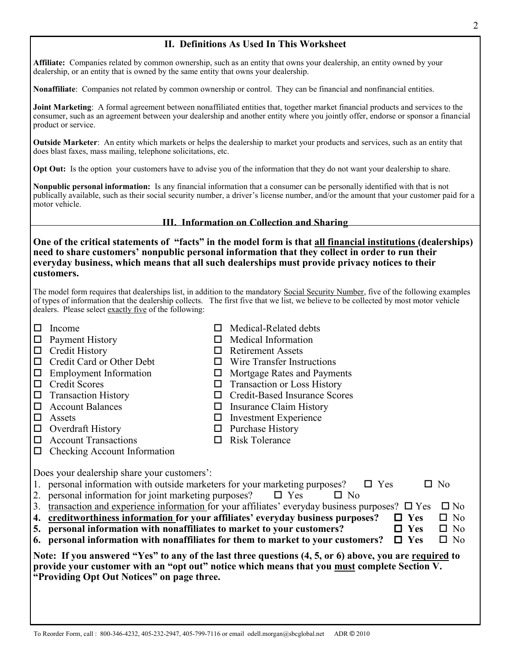## **II. Definitions As Used In This Worksheet**

**Affiliate:** Companies related by common ownership, such as an entity that owns your dealership, an entity owned by your dealership, or an entity that is owned by the same entity that owns your dealership.

**Nonaffiliate**: Companies not related by common ownership or control. They can be financial and nonfinancial entities.

**Joint Marketing**: A formal agreement between nonaffiliated entities that, together market financial products and services to the consumer, such as an agreement between your dealership and another entity where you jointly offer, endorse or sponsor a financial product or service.

**Outside Marketer**: An entity which markets or helps the dealership to market your products and services, such as an entity that does blast faxes, mass mailing, telephone solicitations, etc.

**Opt Out:** Is the option your customers have to advise you of the information that they do not want your dealership to share.

**Nonpublic personal information:** Is any financial information that a consumer can be personally identified with that is not publically available, such as their social security number, a driver's license number, and/or the amount that your customer paid for a motor vehicle.

**III. Information on Collection and Sharing**

**One of the critical statements of "facts" in the model form is that all financial institutions (dealerships) need to share customers' nonpublic personal information that they collect in order to run their everyday business, which means that all such dealerships must provide privacy notices to their customers.** 

The model form requires that dealerships list, in addition to the mandatory Social Security Number, five of the following examples of types of information that the dealership collects. The first five that we list, we believe to be collected by most motor vehicle dealers. Please select exactly five of the following:

| □<br>Ц<br>$\Box$<br>$\Box$<br>$\Box$<br>$\Box$<br>$\Box$<br>$\Box$<br>□<br>$\Box$<br>$\Box$<br>$\Box$ | Income<br>Payment History<br><b>Credit History</b><br>Credit Card or Other Debt<br><b>Employment Information</b><br><b>Credit Scores</b><br><b>Transaction History</b><br><b>Account Balances</b><br>Assets<br>Overdraft History<br><b>Account Transactions</b><br>Checking Account Information                                                                                                                                                                             | $\mathbf{L}$<br>ΙI<br>□<br>ΙI<br>◻<br>$\Box$<br>□<br>□<br>□<br>□<br>$\mathbf{L}$ | Medical-Related debts<br>Medical Information<br><b>Retirement Assets</b><br>Wire Transfer Instructions<br>Mortgage Rates and Payments<br><b>Transaction or Loss History</b><br><b>Credit-Based Insurance Scores</b><br><b>Insurance Claim History</b><br><b>Investment Experience</b><br>Purchase History<br><b>Risk Tolerance</b>                                                                                                                                    |
|-------------------------------------------------------------------------------------------------------|-----------------------------------------------------------------------------------------------------------------------------------------------------------------------------------------------------------------------------------------------------------------------------------------------------------------------------------------------------------------------------------------------------------------------------------------------------------------------------|----------------------------------------------------------------------------------|-----------------------------------------------------------------------------------------------------------------------------------------------------------------------------------------------------------------------------------------------------------------------------------------------------------------------------------------------------------------------------------------------------------------------------------------------------------------------|
| 1.<br>2.<br>3.<br>5.                                                                                  | Does your dealership share your customers':<br>personal information with outside marketers for your marketing purposes?<br>personal information for joint marketing purposes?<br>4. creditworthiness information for your affiliates' everyday business purposes?<br>personal information with nonaffiliates to market to your customers?<br>6. personal information with nonaffiliates for them to market to your customers?<br>"Providing Opt Out Notices" on page three. |                                                                                  | No<br>$\Box$ Yes<br>П<br>$\Box$ Yes<br>$\Box$ No<br>transaction and experience information for your affiliates' everyday business purposes? $\square$ Yes<br>$\square$ No<br>Yes<br>$\square$ No<br>п<br>$\Box$ Yes<br>$\Box$ No<br>$\Box$ Yes<br>$\Box$ No<br>Note: If you answered "Yes" to any of the last three questions (4, 5, or 6) above, you are required to<br>provide your customer with an "opt out" notice which means that you must complete Section V. |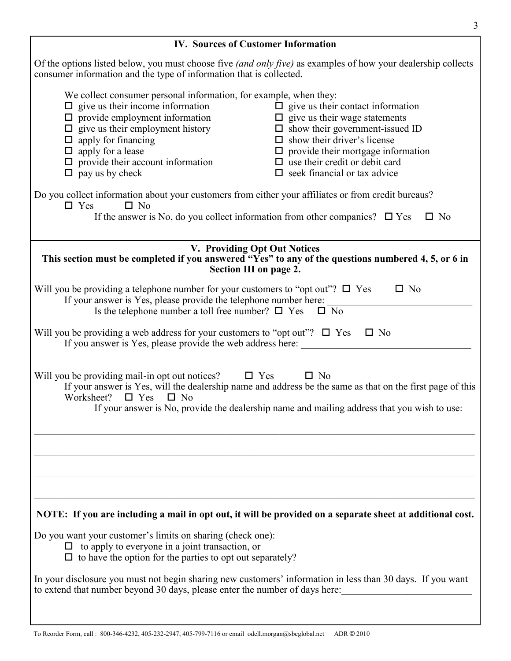| <b>IV. Sources of Customer Information</b>                                                                                                                                                                                                                                                                                                                                                                                                                                                                                                                                                                                                                                                                                                                                                                                                                                 |  |  |  |  |
|----------------------------------------------------------------------------------------------------------------------------------------------------------------------------------------------------------------------------------------------------------------------------------------------------------------------------------------------------------------------------------------------------------------------------------------------------------------------------------------------------------------------------------------------------------------------------------------------------------------------------------------------------------------------------------------------------------------------------------------------------------------------------------------------------------------------------------------------------------------------------|--|--|--|--|
| Of the options listed below, you must choose five (and only five) as examples of how your dealership collects<br>consumer information and the type of information that is collected.                                                                                                                                                                                                                                                                                                                                                                                                                                                                                                                                                                                                                                                                                       |  |  |  |  |
| We collect consumer personal information, for example, when they:<br>$\Box$ give us their income information<br>$\Box$ give us their contact information<br>$\Box$ provide employment information<br>$\Box$ give us their wage statements<br>$\Box$ give us their employment history<br>$\square$ show their government-issued ID<br>$\Box$ show their driver's license<br>$\Box$ apply for financing<br>$\Box$ apply for a lease<br>$\Box$ provide their mortgage information<br>$\Box$ provide their account information<br>$\Box$ use their credit or debit card<br>$\Box$ pay us by check<br>$\Box$ seek financial or tax advice<br>Do you collect information about your customers from either your affiliates or from credit bureaus?<br>$\Box$ Yes<br>$\square$ No<br>If the answer is No, do you collect information from other companies? $\Box$ Yes<br>$\Box$ No |  |  |  |  |
|                                                                                                                                                                                                                                                                                                                                                                                                                                                                                                                                                                                                                                                                                                                                                                                                                                                                            |  |  |  |  |
| V. Providing Opt Out Notices<br>This section must be completed if you answered "Yes" to any of the questions numbered 4, 5, or 6 in<br>Section III on page 2.                                                                                                                                                                                                                                                                                                                                                                                                                                                                                                                                                                                                                                                                                                              |  |  |  |  |
| Will you be providing a telephone number for your customers to "opt out"? $\square$ Yes<br>$\Box$ No<br>If your answer is Yes, please provide the telephone number here:<br>Is the telephone number a toll free number? $\square$ Yes<br>$\Box$ No                                                                                                                                                                                                                                                                                                                                                                                                                                                                                                                                                                                                                         |  |  |  |  |
| Will you be providing a web address for your customers to "opt out"? $\square$ Yes $\square$ No<br>If you answer is Yes, please provide the web address here:                                                                                                                                                                                                                                                                                                                                                                                                                                                                                                                                                                                                                                                                                                              |  |  |  |  |
| $\square$ No<br>Will you be providing mail-in opt out notices?<br>$\Box$ Yes<br>If your answer is Yes, will the dealership name and address be the same as that on the first page of this<br>Worksheet?<br>$\Box$ Yes $\Box$ No<br>If your answer is No, provide the dealership name and mailing address that you wish to use:                                                                                                                                                                                                                                                                                                                                                                                                                                                                                                                                             |  |  |  |  |
|                                                                                                                                                                                                                                                                                                                                                                                                                                                                                                                                                                                                                                                                                                                                                                                                                                                                            |  |  |  |  |
|                                                                                                                                                                                                                                                                                                                                                                                                                                                                                                                                                                                                                                                                                                                                                                                                                                                                            |  |  |  |  |
|                                                                                                                                                                                                                                                                                                                                                                                                                                                                                                                                                                                                                                                                                                                                                                                                                                                                            |  |  |  |  |
| NOTE: If you are including a mail in opt out, it will be provided on a separate sheet at additional cost.                                                                                                                                                                                                                                                                                                                                                                                                                                                                                                                                                                                                                                                                                                                                                                  |  |  |  |  |
| Do you want your customer's limits on sharing (check one):<br>$\Box$ to apply to everyone in a joint transaction, or<br>$\Box$ to have the option for the parties to opt out separately?                                                                                                                                                                                                                                                                                                                                                                                                                                                                                                                                                                                                                                                                                   |  |  |  |  |
| In your disclosure you must not begin sharing new customers' information in less than 30 days. If you want<br>to extend that number beyond 30 days, please enter the number of days here:<br><u> 1989 - Johann Barn, mars ann an t-Amhair an t-A</u>                                                                                                                                                                                                                                                                                                                                                                                                                                                                                                                                                                                                                       |  |  |  |  |
|                                                                                                                                                                                                                                                                                                                                                                                                                                                                                                                                                                                                                                                                                                                                                                                                                                                                            |  |  |  |  |

3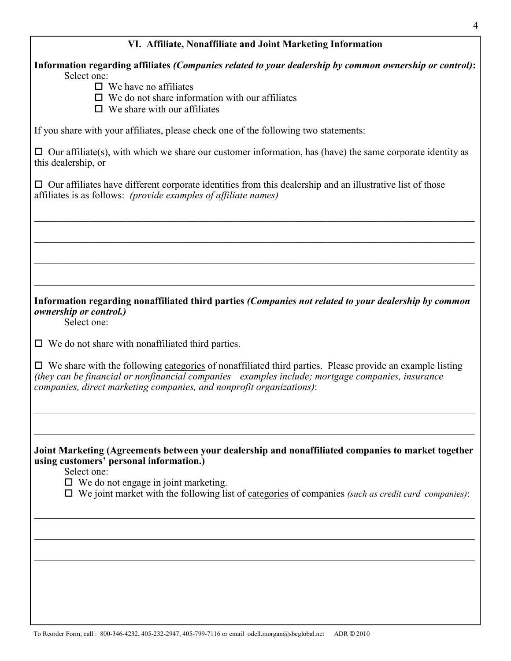| VI. Affiliate, Nonaffiliate and Joint Marketing Information                                                                                                                                                                                                                                                               |  |  |  |  |
|---------------------------------------------------------------------------------------------------------------------------------------------------------------------------------------------------------------------------------------------------------------------------------------------------------------------------|--|--|--|--|
| Information regarding affiliates (Companies related to your dealership by common ownership or control):<br>Select one:<br>$\Box$ We have no affiliates<br>$\Box$ We do not share information with our affiliates<br>$\Box$ We share with our affiliates                                                                   |  |  |  |  |
| If you share with your affiliates, please check one of the following two statements:                                                                                                                                                                                                                                      |  |  |  |  |
| $\Box$ Our affiliate(s), with which we share our customer information, has (have) the same corporate identity as<br>this dealership, or                                                                                                                                                                                   |  |  |  |  |
| $\Box$ Our affiliates have different corporate identities from this dealership and an illustrative list of those<br>affiliates is as follows: <i>(provide examples of affiliate names)</i>                                                                                                                                |  |  |  |  |
|                                                                                                                                                                                                                                                                                                                           |  |  |  |  |
|                                                                                                                                                                                                                                                                                                                           |  |  |  |  |
| Information regarding nonaffiliated third parties (Companies not related to your dealership by common<br>ownership or control.)<br>Select one:                                                                                                                                                                            |  |  |  |  |
| $\Box$ We do not share with nonaffiliated third parties.                                                                                                                                                                                                                                                                  |  |  |  |  |
| $\Box$ We share with the following categories of nonaffiliated third parties. Please provide an example listing<br>(they can be financial or nonfinancial companies—examples include; mortgage companies, insurance<br>companies, direct marketing companies, and nonprofit organizations):                               |  |  |  |  |
| Joint Marketing (Agreements between your dealership and nonaffiliated companies to market together<br>using customers' personal information.)<br>Select one:<br>$\Box$ We do not engage in joint marketing.<br>$\Box$ We joint market with the following list of categories of companies (such as credit card companies): |  |  |  |  |
|                                                                                                                                                                                                                                                                                                                           |  |  |  |  |
|                                                                                                                                                                                                                                                                                                                           |  |  |  |  |
|                                                                                                                                                                                                                                                                                                                           |  |  |  |  |
|                                                                                                                                                                                                                                                                                                                           |  |  |  |  |

4